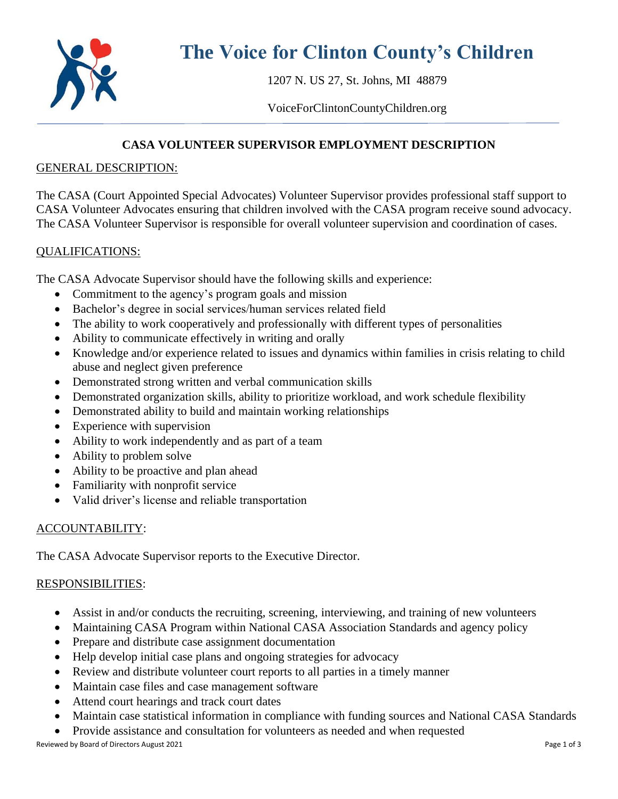

# **The Voice for Clinton County's Children**

1207 N. US 27, St. Johns, MI 48879

VoiceForClintonCountyChildren.org

# **CASA VOLUNTEER SUPERVISOR EMPLOYMENT DESCRIPTION**

#### GENERAL DESCRIPTION:

The CASA (Court Appointed Special Advocates) Volunteer Supervisor provides professional staff support to CASA Volunteer Advocates ensuring that children involved with the CASA program receive sound advocacy. The CASA Volunteer Supervisor is responsible for overall volunteer supervision and coordination of cases.

#### QUALIFICATIONS:

The CASA Advocate Supervisor should have the following skills and experience:

- Commitment to the agency's program goals and mission
- Bachelor's degree in social services/human services related field
- The ability to work cooperatively and professionally with different types of personalities
- Ability to communicate effectively in writing and orally
- Knowledge and/or experience related to issues and dynamics within families in crisis relating to child abuse and neglect given preference
- Demonstrated strong written and verbal communication skills
- Demonstrated organization skills, ability to prioritize workload, and work schedule flexibility
- Demonstrated ability to build and maintain working relationships
- Experience with supervision
- Ability to work independently and as part of a team
- Ability to problem solve
- Ability to be proactive and plan ahead
- Familiarity with nonprofit service
- Valid driver's license and reliable transportation

## ACCOUNTABILITY:

The CASA Advocate Supervisor reports to the Executive Director.

## RESPONSIBILITIES:

- Assist in and/or conducts the recruiting, screening, interviewing, and training of new volunteers
- Maintaining CASA Program within National CASA Association Standards and agency policy
- Prepare and distribute case assignment documentation
- Help develop initial case plans and ongoing strategies for advocacy
- Review and distribute volunteer court reports to all parties in a timely manner
- Maintain case files and case management software
- Attend court hearings and track court dates
- Maintain case statistical information in compliance with funding sources and National CASA Standards
- Provide assistance and consultation for volunteers as needed and when requested

Reviewed by Board of Directors August 2021 **Page 1 of 3** Page 1 of 3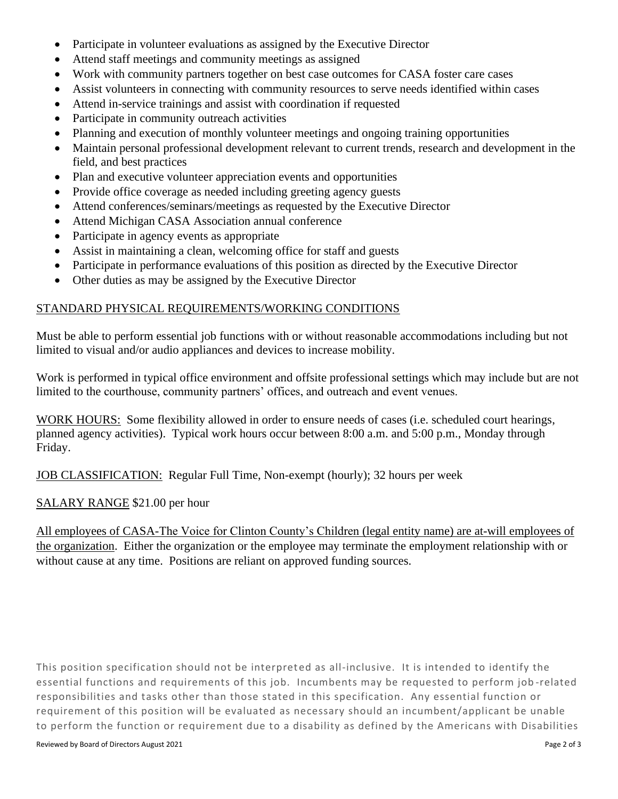- Participate in volunteer evaluations as assigned by the Executive Director
- Attend staff meetings and community meetings as assigned
- Work with community partners together on best case outcomes for CASA foster care cases
- Assist volunteers in connecting with community resources to serve needs identified within cases
- Attend in-service trainings and assist with coordination if requested
- Participate in community outreach activities
- Planning and execution of monthly volunteer meetings and ongoing training opportunities
- Maintain personal professional development relevant to current trends, research and development in the field, and best practices
- Plan and executive volunteer appreciation events and opportunities
- Provide office coverage as needed including greeting agency guests
- Attend conferences/seminars/meetings as requested by the Executive Director
- Attend Michigan CASA Association annual conference
- Participate in agency events as appropriate
- Assist in maintaining a clean, welcoming office for staff and guests
- Participate in performance evaluations of this position as directed by the Executive Director
- Other duties as may be assigned by the Executive Director

#### STANDARD PHYSICAL REQUIREMENTS/WORKING CONDITIONS

Must be able to perform essential job functions with or without reasonable accommodations including but not limited to visual and/or audio appliances and devices to increase mobility.

Work is performed in typical office environment and offsite professional settings which may include but are not limited to the courthouse, community partners' offices, and outreach and event venues.

WORK HOURS: Some flexibility allowed in order to ensure needs of cases (i.e. scheduled court hearings, planned agency activities). Typical work hours occur between 8:00 a.m. and 5:00 p.m., Monday through Friday.

JOB CLASSIFICATION: Regular Full Time, Non-exempt (hourly); 32 hours per week

SALARY RANGE \$21.00 per hour

All employees of CASA-The Voice for Clinton County's Children (legal entity name) are at-will employees of the organization. Either the organization or the employee may terminate the employment relationship with or without cause at any time. Positions are reliant on approved funding sources.

This position specification should not be interpreted as all-inclusive. It is intended to identify the essential functions and requirements of this job. Incumbents may be requested to perform job -related responsibilities and tasks other than those stated in this specification. Any essential function or requirement of this position will be evaluated as necessary should an incumbent/applicant be unable to perform the function or requirement due to a disability as defined by the Americans with Disabilities